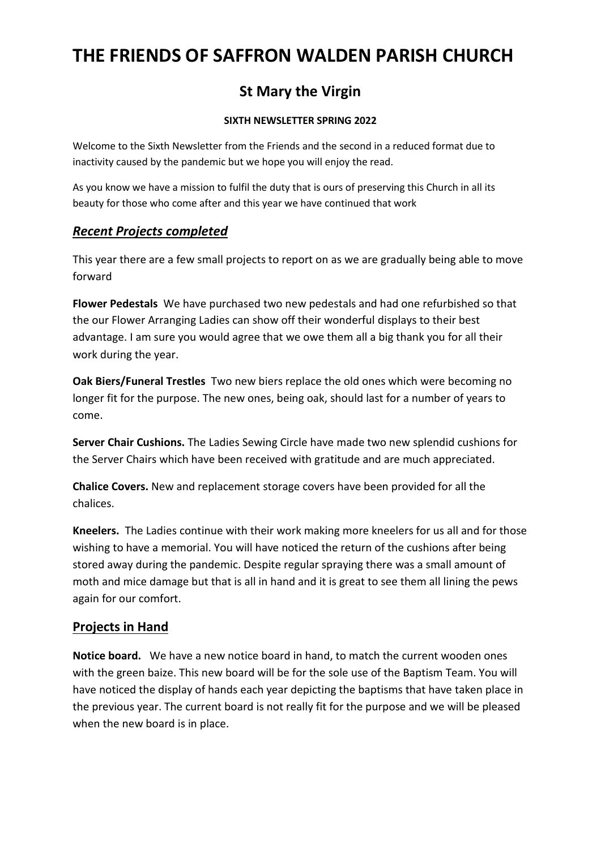# **THE FRIENDS OF SAFFRON WALDEN PARISH CHURCH**

## **St Mary the Virgin**

#### **SIXTH NEWSLETTER SPRING 2022**

Welcome to the Sixth Newsletter from the Friends and the second in a reduced format due to inactivity caused by the pandemic but we hope you will enjoy the read.

As you know we have a mission to fulfil the duty that is ours of preserving this Church in all its beauty for those who come after and this year we have continued that work

## *Recent Projects completed*

This year there are a few small projects to report on as we are gradually being able to move forward

**Flower Pedestals** We have purchased two new pedestals and had one refurbished so that the our Flower Arranging Ladies can show off their wonderful displays to their best advantage. I am sure you would agree that we owe them all a big thank you for all their work during the year.

**Oak Biers/Funeral Trestles** Two new biers replace the old ones which were becoming no longer fit for the purpose. The new ones, being oak, should last for a number of years to come.

**Server Chair Cushions.** The Ladies Sewing Circle have made two new splendid cushions for the Server Chairs which have been received with gratitude and are much appreciated.

**Chalice Covers.** New and replacement storage covers have been provided for all the chalices.

**Kneelers.** The Ladies continue with their work making more kneelers for us all and for those wishing to have a memorial. You will have noticed the return of the cushions after being stored away during the pandemic. Despite regular spraying there was a small amount of moth and mice damage but that is all in hand and it is great to see them all lining the pews again for our comfort.

## **Projects in Hand**

**Notice board.** We have a new notice board in hand, to match the current wooden ones with the green baize. This new board will be for the sole use of the Baptism Team. You will have noticed the display of hands each year depicting the baptisms that have taken place in the previous year. The current board is not really fit for the purpose and we will be pleased when the new board is in place.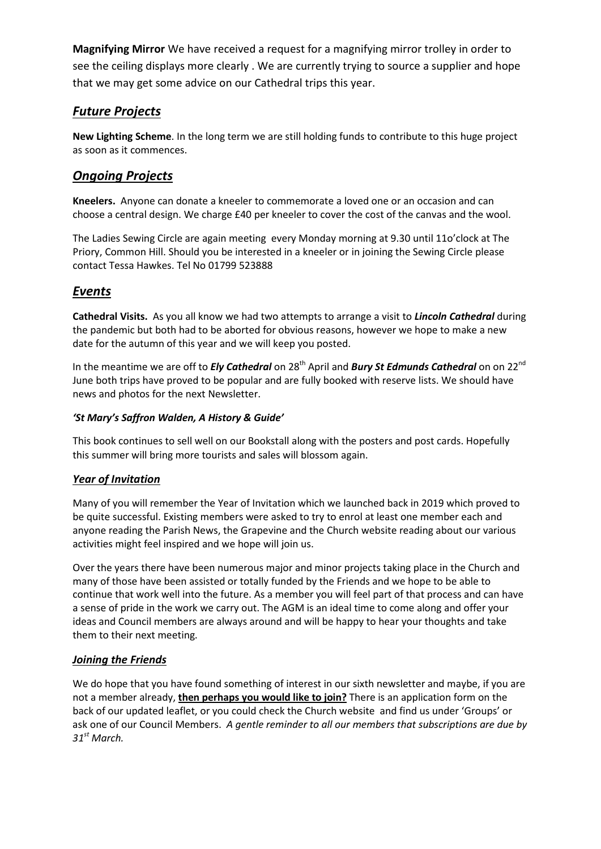**Magnifying Mirror** We have received a request for a magnifying mirror trolley in order to see the ceiling displays more clearly . We are currently trying to source a supplier and hope that we may get some advice on our Cathedral trips this year.

## *Future Projects*

**New Lighting Scheme**. In the long term we are still holding funds to contribute to this huge project as soon as it commences.

## *Ongoing Projects*

**Kneelers.** Anyone can donate a kneeler to commemorate a loved one or an occasion and can choose a central design. We charge £40 per kneeler to cover the cost of the canvas and the wool.

The Ladies Sewing Circle are again meeting every Monday morning at 9.30 until 11o'clock at The Priory, Common Hill. Should you be interested in a kneeler or in joining the Sewing Circle please contact Tessa Hawkes. Tel No 01799 523888

## *Events*

**Cathedral Visits.** As you all know we had two attempts to arrange a visit to *Lincoln Cathedral* during the pandemic but both had to be aborted for obvious reasons, however we hope to make a new date for the autumn of this year and we will keep you posted.

In the meantime we are off to *Ely Cathedral* on 28<sup>th</sup> April and *Bury St Edmunds Cathedral* on on 22<sup>nd</sup> June both trips have proved to be popular and are fully booked with reserve lists. We should have news and photos for the next Newsletter.

#### *'St Mary's Saffron Walden, A History & Guide'*

This book continues to sell well on our Bookstall along with the posters and post cards. Hopefully this summer will bring more tourists and sales will blossom again.

## *Year of Invitation*

Many of you will remember the Year of Invitation which we launched back in 2019 which proved to be quite successful. Existing members were asked to try to enrol at least one member each and anyone reading the Parish News, the Grapevine and the Church website reading about our various activities might feel inspired and we hope will join us.

Over the years there have been numerous major and minor projects taking place in the Church and many of those have been assisted or totally funded by the Friends and we hope to be able to continue that work well into the future. As a member you will feel part of that process and can have a sense of pride in the work we carry out. The AGM is an ideal time to come along and offer your ideas and Council members are always around and will be happy to hear your thoughts and take them to their next meeting.

## *Joining the Friends*

We do hope that you have found something of interest in our sixth newsletter and maybe, if you are not a member already, **then perhaps you would like to join?** There is an application form on the back of our updated leaflet, or you could check the Church website and find us under 'Groups' or ask one of our Council Members. *A gentle reminder to all our members that subscriptions are due by 31st March.*